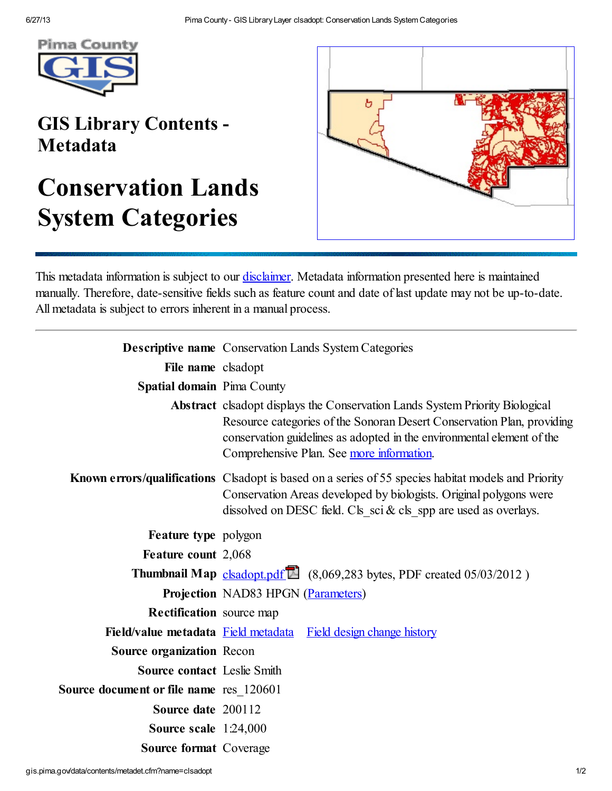

## GIS Library Contents - Metadata

## Conservation Lands System Categories



This metadata information is subject to our *disclaimer*. Metadata information presented here is maintained manually. Therefore, date-sensitive fields such as feature count and date of last update may not be up-to-date. All metadata is subject to errors inherent in a manual process.

|                                         | <b>Descriptive name</b> Conservation Lands System Categories                                                                                                                                                                                                                         |
|-----------------------------------------|--------------------------------------------------------------------------------------------------------------------------------------------------------------------------------------------------------------------------------------------------------------------------------------|
| File name clsadopt                      |                                                                                                                                                                                                                                                                                      |
| <b>Spatial domain</b> Pima County       |                                                                                                                                                                                                                                                                                      |
|                                         | <b>Abstract</b> clsadopt displays the Conservation Lands System Priority Biological<br>Resource categories of the Sonoran Desert Conservation Plan, providing<br>conservation guidelines as adopted in the environmental element of the<br>Comprehensive Plan. See more information. |
|                                         | <b>Known errors/qualifications</b> Clsadopt is based on a series of 55 species habitat models and Priority<br>Conservation Areas developed by biologists. Original polygons were<br>dissolved on DESC field. Cls_sci & cls_spp are used as overlays.                                 |
| Feature type polygon                    |                                                                                                                                                                                                                                                                                      |
| Feature count 2,068                     |                                                                                                                                                                                                                                                                                      |
|                                         | <b>Thumbnail Map</b> clsadopt.pdf <sup>1</sup> (8,069,283 bytes, PDF created $05/03/2012$ )                                                                                                                                                                                          |
|                                         | <b>Projection NAD83 HPGN (Parameters)</b>                                                                                                                                                                                                                                            |
| <b>Rectification</b> source map         |                                                                                                                                                                                                                                                                                      |
| Field/value metadata Field metadata     | <b>Field design change history</b>                                                                                                                                                                                                                                                   |
| <b>Source organization Recon</b>        |                                                                                                                                                                                                                                                                                      |
| <b>Source contact Leslie Smith</b>      |                                                                                                                                                                                                                                                                                      |
| Source document or file name res 120601 |                                                                                                                                                                                                                                                                                      |
| Source date 200112                      |                                                                                                                                                                                                                                                                                      |
| Source scale $1:24,000$                 |                                                                                                                                                                                                                                                                                      |
| <b>Source format Coverage</b>           |                                                                                                                                                                                                                                                                                      |
|                                         |                                                                                                                                                                                                                                                                                      |